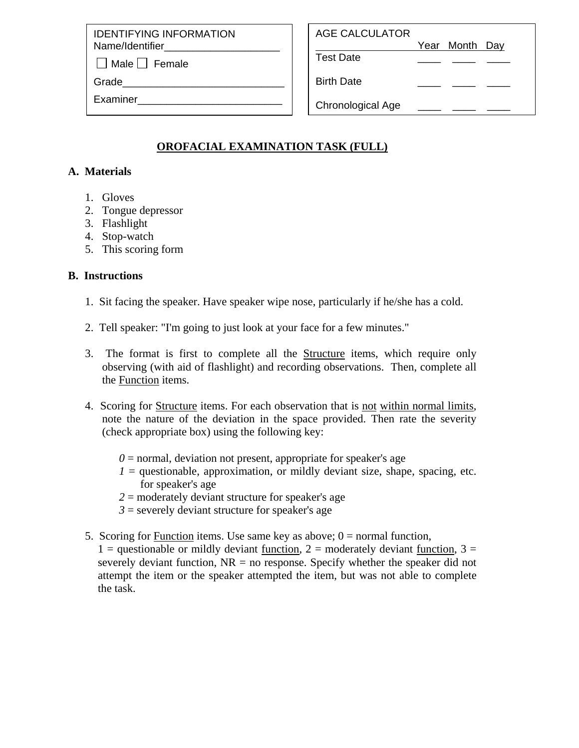IDENTIFYING INFORMATION Name/Identifier

 $\Box$  Male  $\Box$  Female

Grade

Examiner\_\_\_\_\_\_\_\_\_\_\_\_\_\_\_\_\_\_\_\_\_\_\_\_\_

| AGE CALCULATOR |  |  |  |
|----------------|--|--|--|
|                |  |  |  |

1 Year Month Day

Test Date \_\_\_\_ \_\_\_\_ \_\_\_\_

Birth Date

Chronological Age

# **OROFACIAL EXAMINATION TASK (FULL)**

## **A. Materials**

- 1. Gloves
- 2. Tongue depressor
- 3. Flashlight
- 4. Stop-watch
- 5. This scoring form

## **B. Instructions**

- 1. Sit facing the speaker. Have speaker wipe nose, particularly if he/she has a cold.
- 2. Tell speaker: "I'm going to just look at your face for a few minutes."
- 3. The format is first to complete all the Structure items, which require only observing (with aid of flashlight) and recording observations. Then, complete all the Function items.
- 4. Scoring for Structure items. For each observation that is not within normal limits, note the nature of the deviation in the space provided. Then rate the severity (check appropriate box) using the following key:
	- $0 =$  normal, deviation not present, appropriate for speaker's age
	- $I =$  questionable, approximation, or mildly deviant size, shape, spacing, etc. for speaker's age
	- *2* = moderately deviant structure for speaker's age
	- $3$  = severely deviant structure for speaker's age
- 5. Scoring for Function items. Use same key as above;  $0 =$  normal function,
	- 1 = questionable or mildly deviant <u>function</u>, 2 = moderately deviant <u>function</u>, 3 = severely deviant function,  $NR = no$  response. Specify whether the speaker did not attempt the item or the speaker attempted the item, but was not able to complete the task.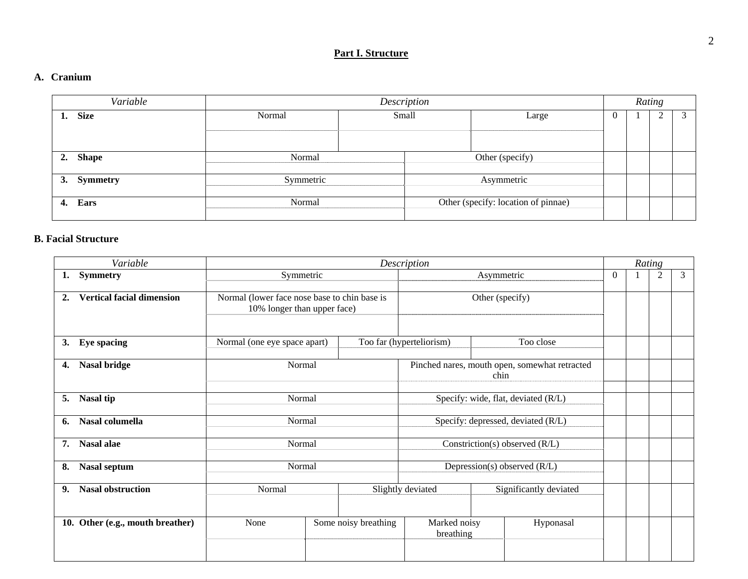## **Part I. Structure**

#### **A. Cranium**

| Variable           | Description |       |  |                                     |  | Rating |   |  |
|--------------------|-------------|-------|--|-------------------------------------|--|--------|---|--|
| <b>Size</b><br>ı.  | Normal      | Small |  | Large                               |  |        | ∠ |  |
| <b>Shape</b><br>2. | Normal      |       |  | Other (specify)                     |  |        |   |  |
| Symmetry<br>3.     | Symmetric   |       |  | Asymmetric                          |  |        |   |  |
| Ears<br>4.         | Normal      |       |  | Other (specify: location of pinnae) |  |        |   |  |

#### **B. Facial Structure**

| Variable                               |                                                                             | Description          |                                                       |                                     |          |  | Rating         |   |
|----------------------------------------|-----------------------------------------------------------------------------|----------------------|-------------------------------------------------------|-------------------------------------|----------|--|----------------|---|
| <b>Symmetry</b><br>1.                  | Symmetric                                                                   |                      |                                                       | Asymmetric                          | $\Omega$ |  | $\overline{2}$ | 3 |
| <b>Vertical facial dimension</b><br>2. | Normal (lower face nose base to chin base is<br>10% longer than upper face) |                      | Other (specify)                                       |                                     |          |  |                |   |
| <b>Eye spacing</b><br>3.               | Normal (one eye space apart)                                                |                      | Too far (hyperteliorism)                              | Too close                           |          |  |                |   |
| Nasal bridge<br>4.                     | Normal                                                                      |                      | Pinched nares, mouth open, somewhat retracted<br>chin |                                     |          |  |                |   |
| <b>Nasal tip</b><br>5.                 | Normal                                                                      |                      |                                                       | Specify: wide, flat, deviated (R/L) |          |  |                |   |
| Nasal columella<br>6.                  | Normal                                                                      |                      |                                                       | Specify: depressed, deviated (R/L)  |          |  |                |   |
| Nasal alae<br>7.                       | Normal                                                                      |                      | Constriction(s) observed $(R/L)$                      |                                     |          |  |                |   |
| <b>Nasal septum</b><br>8.              | Normal                                                                      |                      | Depression(s) observed (R/L)                          |                                     |          |  |                |   |
| <b>Nasal obstruction</b><br>9.         | Normal                                                                      |                      | Slightly deviated                                     | Significantly deviated              |          |  |                |   |
| 10. Other (e.g., mouth breather)       | None                                                                        | Some noisy breathing | Marked noisy<br>breathing                             | Hyponasal                           |          |  |                |   |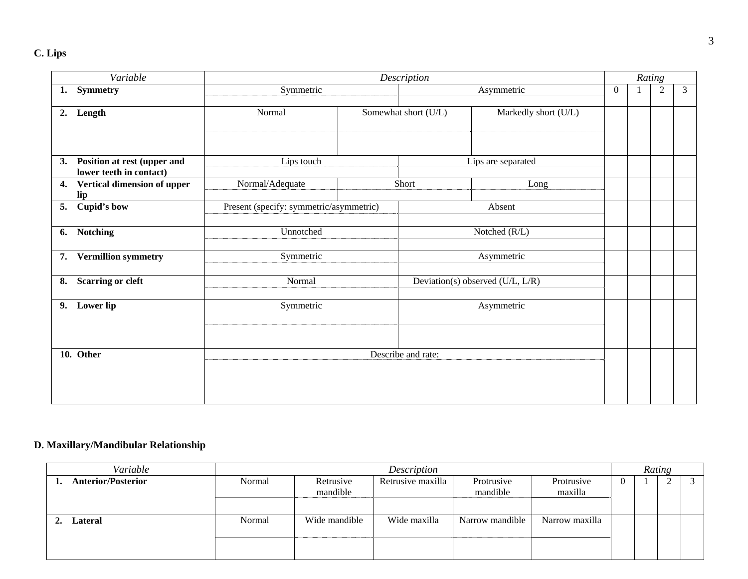| Variable                                                     |                                         |               | Description          |                                  |                | Rating |                |                |
|--------------------------------------------------------------|-----------------------------------------|---------------|----------------------|----------------------------------|----------------|--------|----------------|----------------|
| <b>Symmetry</b><br>1.                                        | Symmetric                               |               |                      | Asymmetric                       | $\overline{0}$ |        | $\overline{2}$ | $\mathfrak{Z}$ |
| Length<br>2.                                                 | Normal                                  |               | Somewhat short (U/L) | Markedly short (U/L)             |                |        |                |                |
| Position at rest (upper and<br>3.<br>lower teeth in contact) | Lips touch                              |               |                      | Lips are separated               |                |        |                |                |
| Vertical dimension of upper<br>4.<br>lip                     | Normal/Adequate                         | Short<br>Long |                      |                                  |                |        |                |                |
| <b>Cupid's bow</b><br>5.                                     | Present (specify: symmetric/asymmetric) |               |                      | Absent                           |                |        |                |                |
| <b>Notching</b><br>6.                                        | Unnotched                               |               |                      | Notched (R/L)                    |                |        |                |                |
| <b>Vermillion symmetry</b><br>7.                             | Symmetric                               |               |                      | Asymmetric                       |                |        |                |                |
| <b>Scarring or cleft</b><br>8.                               | Normal                                  |               |                      | Deviation(s) observed (U/L, L/R) |                |        |                |                |
| 9. Lower lip                                                 | Symmetric                               |               |                      | Asymmetric                       |                |        |                |                |
| 10. Other                                                    |                                         |               | Describe and rate:   |                                  |                |        |                |                |

## **D. Maxillary/Mandibular Relationship**

| Variable                  |        | Description           |                   |                        |                       |   |  |  |  |
|---------------------------|--------|-----------------------|-------------------|------------------------|-----------------------|---|--|--|--|
| <b>Anterior/Posterior</b> | Normal | Retrusive<br>mandible | Retrusive maxilla | Protrusive<br>mandible | Protrusive<br>maxilla | v |  |  |  |
| Lateral                   | Normal | Wide mandible         | Wide maxilla      | Narrow mandible        | Narrow maxilla        |   |  |  |  |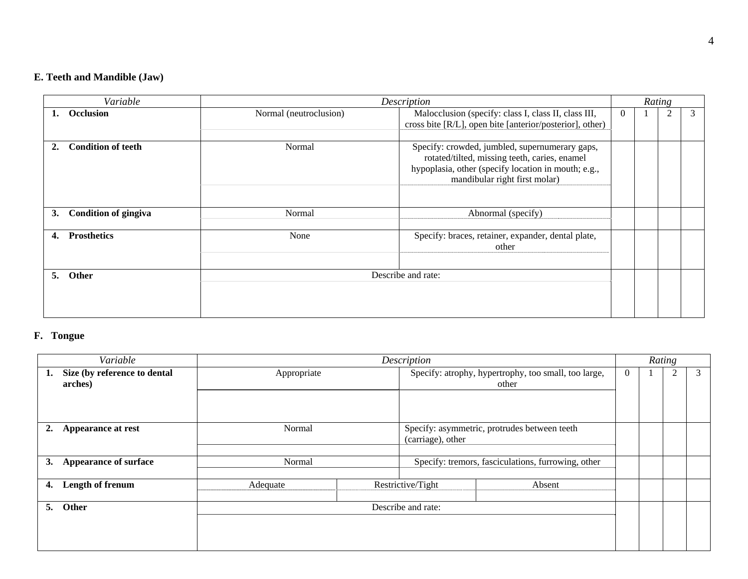## **E. Teeth and Mandible (Jaw)**

| Variable                          |                        | Description                                                                                                                                                                             |          | Rating |   |   |
|-----------------------------------|------------------------|-----------------------------------------------------------------------------------------------------------------------------------------------------------------------------------------|----------|--------|---|---|
| Occlusion<br>1.                   | Normal (neutroclusion) | Malocclusion (specify: class I, class II, class III,<br>cross bite [R/L], open bite [anterior/posterior], other)                                                                        | $\Omega$ |        | 2 | 3 |
| <b>Condition of teeth</b>         | Normal                 | Specify: crowded, jumbled, supernumerary gaps,<br>rotated/tilted, missing teeth, caries, enamel<br>hypoplasia, other (specify location in mouth; e.g.,<br>mandibular right first molar) |          |        |   |   |
| <b>Condition of gingiva</b><br>3. | Normal                 | Abnormal (specify)                                                                                                                                                                      |          |        |   |   |
| <b>Prosthetics</b><br>4.          | None                   | Specify: braces, retainer, expander, dental plate,<br>other                                                                                                                             |          |        |   |   |
| 5.<br>Other                       |                        | Describe and rate:                                                                                                                                                                      |          |        |   |   |

## **F. Tongue**

| Variable                                      |                    |  | Description                                                   |                                                    | Rating |  |  |   |
|-----------------------------------------------|--------------------|--|---------------------------------------------------------------|----------------------------------------------------|--------|--|--|---|
| Size (by reference to dental<br>1.<br>arches) | Appropriate        |  | Specify: atrophy, hypertrophy, too small, too large,<br>other |                                                    |        |  |  | 3 |
|                                               |                    |  |                                                               |                                                    |        |  |  |   |
| Appearance at rest<br>2.                      | Normal             |  | (carriage), other                                             | Specify: asymmetric, protrudes between teeth       |        |  |  |   |
| <b>Appearance of surface</b><br>3.            | Normal             |  |                                                               | Specify: tremors, fasciculations, furrowing, other |        |  |  |   |
| Length of frenum<br>4.                        | Adequate           |  | Restrictive/Tight                                             | Absent                                             |        |  |  |   |
| Other<br>5.                                   | Describe and rate: |  |                                                               |                                                    |        |  |  |   |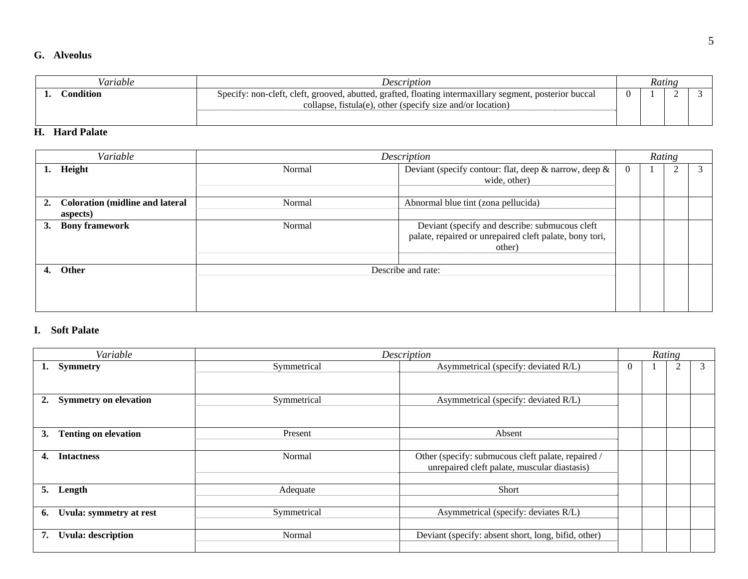#### **G. Alveolus**

| Variable         | <i>Description</i>                                                                                                                                                    |  | Rating |  |
|------------------|-----------------------------------------------------------------------------------------------------------------------------------------------------------------------|--|--------|--|
| Condition        | Specify: non-cleft, cleft, grooved, abutted, grafted, floating intermaxillary segment, posterior buccal<br>collapse, fistula(e), other (specify size and/or location) |  |        |  |
| П<br>Hord Poloto |                                                                                                                                                                       |  |        |  |

#### **H. Hard Palate**

| Variable                                                 |                                                                                                                               | Description        |  | Rating |  |
|----------------------------------------------------------|-------------------------------------------------------------------------------------------------------------------------------|--------------------|--|--------|--|
| Height<br>1.                                             | Deviant (specify contour: flat, deep $\&$ narrow, deep $\&$<br>Normal<br>$\theta$<br>wide, other)                             |                    |  |        |  |
| <b>Coloration (midline and lateral</b><br>2.<br>aspects) | Abnormal blue tint (zona pellucida)<br>Normal                                                                                 |                    |  |        |  |
| <b>Bony framework</b><br>3.                              | Deviant (specify and describe: submucous cleft<br>Normal<br>palate, repaired or unrepaired cleft palate, bony tori,<br>other) |                    |  |        |  |
| Other<br>4.                                              |                                                                                                                               | Describe and rate: |  |        |  |

### **I. Soft Palate**

|    | Variable                     |             | Description                                                                                        |          | Rating |                |   |
|----|------------------------------|-------------|----------------------------------------------------------------------------------------------------|----------|--------|----------------|---|
| ı. | <b>Symmetry</b>              | Symmetrical | Asymmetrical (specify: deviated R/L)                                                               | $\theta$ |        | $\overline{2}$ | 3 |
|    |                              |             |                                                                                                    |          |        |                |   |
| 2. | <b>Symmetry on elevation</b> | Symmetrical | Asymmetrical (specify: deviated R/L)                                                               |          |        |                |   |
|    |                              |             |                                                                                                    |          |        |                |   |
| 3. | <b>Tenting on elevation</b>  | Present     | Absent                                                                                             |          |        |                |   |
|    |                              |             |                                                                                                    |          |        |                |   |
| 4. | <b>Intactness</b>            | Normal      | Other (specify: submucous cleft palate, repaired /<br>unrepaired cleft palate, muscular diastasis) |          |        |                |   |
|    |                              |             |                                                                                                    |          |        |                |   |
| 5. | Length                       | Adequate    | Short                                                                                              |          |        |                |   |
|    |                              |             |                                                                                                    |          |        |                |   |
| 6. | Uvula: symmetry at rest      | Symmetrical | Asymmetrical (specify: deviates R/L)                                                               |          |        |                |   |
|    |                              |             |                                                                                                    |          |        |                |   |
| 7. | <b>Uvula: description</b>    | Normal      | Deviant (specify: absent short, long, bifid, other)                                                |          |        |                |   |
|    |                              |             |                                                                                                    |          |        |                |   |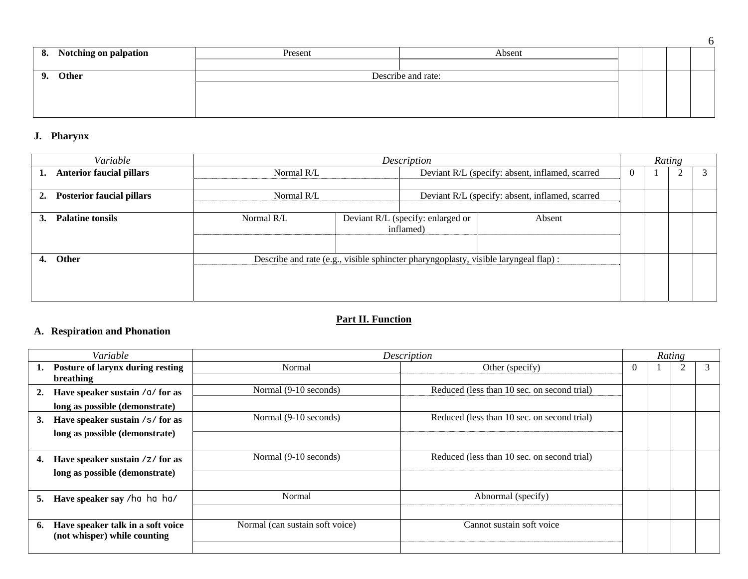| 8. Notching on palpation | Present | Absent             |  |  |
|--------------------------|---------|--------------------|--|--|
|                          |         |                    |  |  |
| Other<br>9.              |         | Describe and rate: |  |  |
|                          |         |                    |  |  |
|                          |         |                    |  |  |
|                          |         |                    |  |  |

### **J. Pharynx**

|    | Variable                         |            | Description                                                                         |                                                 |        |   |  | Rating |  |
|----|----------------------------------|------------|-------------------------------------------------------------------------------------|-------------------------------------------------|--------|---|--|--------|--|
|    | <b>Anterior faucial pillars</b>  | Normal R/L |                                                                                     | Deviant R/L (specify: absent, inflamed, scarred |        | 0 |  |        |  |
|    |                                  |            |                                                                                     |                                                 |        |   |  |        |  |
| 2. | <b>Posterior faucial pillars</b> | Normal R/L |                                                                                     | Deviant R/L (specify: absent, inflamed, scarred |        |   |  |        |  |
|    |                                  |            |                                                                                     |                                                 |        |   |  |        |  |
|    | <b>Palatine tonsils</b>          | Normal R/L | Deviant R/L (specify: enlarged or                                                   |                                                 | Absent |   |  |        |  |
|    |                                  |            |                                                                                     | inflamed)                                       |        |   |  |        |  |
|    |                                  |            |                                                                                     |                                                 |        |   |  |        |  |
|    |                                  |            |                                                                                     |                                                 |        |   |  |        |  |
|    | <b>Other</b>                     |            | Describe and rate (e.g., visible sphincter pharyngoplasty, visible laryngeal flap): |                                                 |        |   |  |        |  |
|    |                                  |            |                                                                                     |                                                 |        |   |  |        |  |
|    |                                  |            |                                                                                     |                                                 |        |   |  |        |  |
|    |                                  |            |                                                                                     |                                                 |        |   |  |        |  |

## **Part II. Function**

## **A. Respiration and Phonation**

|    | Variable                          | Description                     |                                             |   | Rating |  |   |
|----|-----------------------------------|---------------------------------|---------------------------------------------|---|--------|--|---|
|    | Posture of larynx during resting  | Normal                          | Other (specify)                             | 0 |        |  | 3 |
|    | breathing                         |                                 |                                             |   |        |  |   |
|    | Have speaker sustain / a/ for as  | Normal (9-10 seconds)           | Reduced (less than 10 sec. on second trial) |   |        |  |   |
|    | long as possible (demonstrate)    |                                 |                                             |   |        |  |   |
| 3. | Have speaker sustain /s/ for as   | Normal (9-10 seconds)           | Reduced (less than 10 sec. on second trial) |   |        |  |   |
|    | long as possible (demonstrate)    |                                 |                                             |   |        |  |   |
|    |                                   |                                 |                                             |   |        |  |   |
| 4. | Have speaker sustain /z/ for as   | Normal (9-10 seconds)           | Reduced (less than 10 sec. on second trial) |   |        |  |   |
|    | long as possible (demonstrate)    |                                 |                                             |   |        |  |   |
|    |                                   |                                 |                                             |   |        |  |   |
| 5. | Have speaker say /ha ha ha/       | Normal                          | Abnormal (specify)                          |   |        |  |   |
|    |                                   |                                 |                                             |   |        |  |   |
| 6. | Have speaker talk in a soft voice | Normal (can sustain soft voice) | Cannot sustain soft voice                   |   |        |  |   |
|    | (not whisper) while counting      |                                 |                                             |   |        |  |   |
|    |                                   |                                 |                                             |   |        |  |   |

6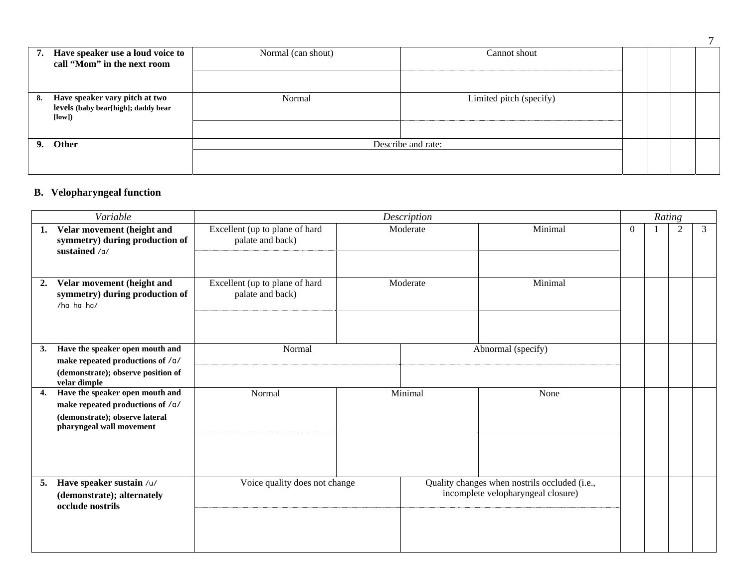| 7. | Have speaker use a loud voice to<br>call "Mom" in the next room                | Normal (can shout) | Cannot shout            |  |  |  |
|----|--------------------------------------------------------------------------------|--------------------|-------------------------|--|--|--|
| 8. | Have speaker vary pitch at two<br>levels (baby bear[high]; daddy bear<br>[low] | Normal             | Limited pitch (specify) |  |  |  |
| 9. | Other                                                                          | Describe and rate: |                         |  |  |  |

## **B. Velopharyngeal function**

|    | Variable                                                                                                                          | Description                                        |  |                    |                                                                                     | Rating   |  |                |   |  |
|----|-----------------------------------------------------------------------------------------------------------------------------------|----------------------------------------------------|--|--------------------|-------------------------------------------------------------------------------------|----------|--|----------------|---|--|
| 1. | Velar movement (height and<br>symmetry) during production of<br>sustained /o/                                                     | Excellent (up to plane of hard<br>palate and back) |  | Moderate           | Minimal                                                                             | $\Omega$ |  | $\mathfrak{2}$ | 3 |  |
| 2. | Velar movement (height and<br>symmetry) during production of<br>/ha ha ha/                                                        | Excellent (up to plane of hard<br>palate and back) |  | Moderate           | Minimal                                                                             |          |  |                |   |  |
| 3. | Have the speaker open mouth and<br>make repeated productions of /a/<br>(demonstrate); observe position of<br>velar dimple         | Normal                                             |  | Abnormal (specify) |                                                                                     |          |  |                |   |  |
| 4. | Have the speaker open mouth and<br>make repeated productions of /a/<br>(demonstrate); observe lateral<br>pharyngeal wall movement | Normal                                             |  | Minimal            | None                                                                                |          |  |                |   |  |
| 5. | Have speaker sustain /u/<br>(demonstrate); alternately<br>occlude nostrils                                                        | Voice quality does not change                      |  |                    | Quality changes when nostrils occluded (i.e.,<br>incomplete velopharyngeal closure) |          |  |                |   |  |

7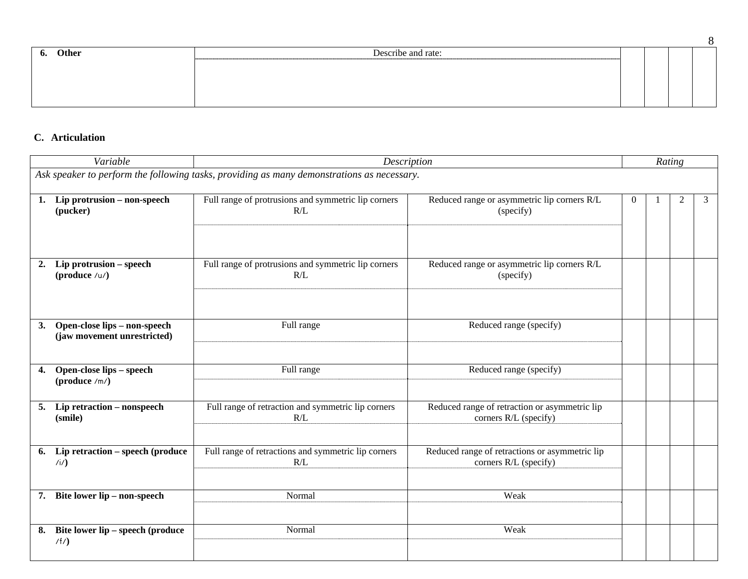| . ი. | Other | Describe and rate: |  |  |  |
|------|-------|--------------------|--|--|--|
|      |       |                    |  |  |  |
|      |       |                    |  |  |  |
|      |       |                    |  |  |  |
|      |       |                    |  |  |  |
|      |       |                    |  |  |  |

### **C. Articulation**

| Variable                                                          | Description                                                                                |                                                                         |          | Rating |                |   |  |
|-------------------------------------------------------------------|--------------------------------------------------------------------------------------------|-------------------------------------------------------------------------|----------|--------|----------------|---|--|
|                                                                   | Ask speaker to perform the following tasks, providing as many demonstrations as necessary. |                                                                         |          |        |                |   |  |
| 1. Lip protrusion – non-speech<br>(pucker)                        | Full range of protrusions and symmetric lip corners<br>R/L                                 | Reduced range or asymmetric lip corners R/L<br>(specify)                | $\theta$ |        | $\overline{2}$ | 3 |  |
| 2. Lip protrusion – speech<br>(produce $/u/$ )                    | Full range of protrusions and symmetric lip corners<br>R/L                                 | Reduced range or asymmetric lip corners R/L<br>(specify)                |          |        |                |   |  |
| Open-close lips - non-speech<br>3.<br>(jaw movement unrestricted) | Full range                                                                                 | Reduced range (specify)                                                 |          |        |                |   |  |
| Open-close lips - speech<br>4.<br>$(produce /m/)$                 | Full range                                                                                 | Reduced range (specify)                                                 |          |        |                |   |  |
| 5. Lip retraction – nonspeech<br>(smile)                          | Full range of retraction and symmetric lip corners<br>R/L                                  | Reduced range of retraction or asymmetric lip<br>corners R/L (specify)  |          |        |                |   |  |
| 6. Lip retraction – speech (produce<br>(i)                        | Full range of retractions and symmetric lip corners<br>R/L                                 | Reduced range of retractions or asymmetric lip<br>corners R/L (specify) |          |        |                |   |  |
| 7. Bite lower lip - non-speech                                    | Normal                                                                                     | Weak                                                                    |          |        |                |   |  |
| Bite lower lip – speech (produce<br>8.<br>/f/                     | Normal                                                                                     | Weak                                                                    |          |        |                |   |  |

8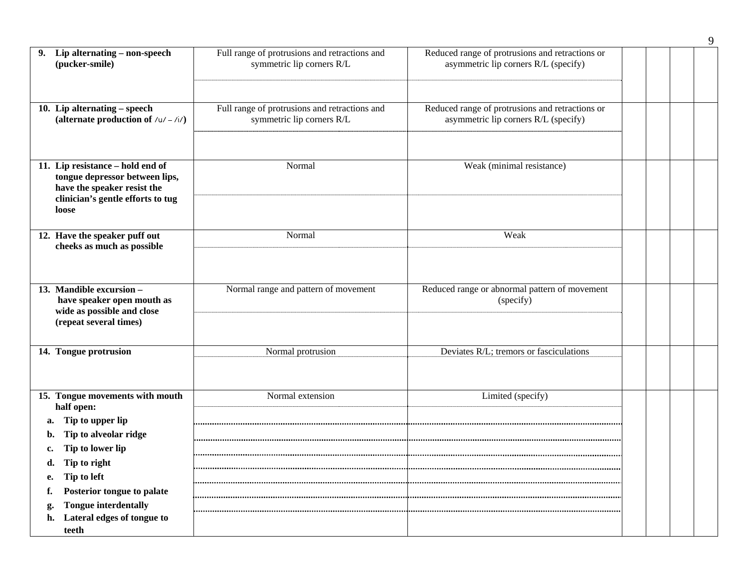|                                                                                                                                                                                                                                                                           |                                                                            |                                                                                         |  | 9 |
|---------------------------------------------------------------------------------------------------------------------------------------------------------------------------------------------------------------------------------------------------------------------------|----------------------------------------------------------------------------|-----------------------------------------------------------------------------------------|--|---|
| Lip alternating - non-speech<br>9.<br>(pucker-smile)                                                                                                                                                                                                                      | Full range of protrusions and retractions and<br>symmetric lip corners R/L | Reduced range of protrusions and retractions or<br>asymmetric lip corners R/L (specify) |  |   |
| 10. Lip alternating - speech<br>(alternate production of $/u / - /i/$ )                                                                                                                                                                                                   | Full range of protrusions and retractions and<br>symmetric lip corners R/L | Reduced range of protrusions and retractions or<br>asymmetric lip corners R/L (specify) |  |   |
| 11. Lip resistance - hold end of<br>tongue depressor between lips,<br>have the speaker resist the<br>clinician's gentle efforts to tug<br>loose                                                                                                                           | Normal                                                                     | Weak (minimal resistance)                                                               |  |   |
| 12. Have the speaker puff out<br>cheeks as much as possible                                                                                                                                                                                                               | Normal                                                                     | Weak                                                                                    |  |   |
| 13. Mandible excursion -<br>have speaker open mouth as<br>wide as possible and close<br>(repeat several times)                                                                                                                                                            | Normal range and pattern of movement                                       | Reduced range or abnormal pattern of movement<br>(specify)                              |  |   |
| 14. Tongue protrusion                                                                                                                                                                                                                                                     | Normal protrusion                                                          | Deviates R/L; tremors or fasciculations                                                 |  |   |
| 15. Tongue movements with mouth<br>half open:<br>Tip to upper lip<br>a.<br>Tip to alveolar ridge<br>b.<br>Tip to lower lip<br>c.<br>Tip to right<br>d.<br>Tip to left<br>e.<br>Posterior tongue to palate<br><b>Tongue interdentally</b><br>h. Lateral edges of tongue to | Normal extension                                                           | Limited (specify)                                                                       |  |   |
| teeth                                                                                                                                                                                                                                                                     |                                                                            |                                                                                         |  |   |